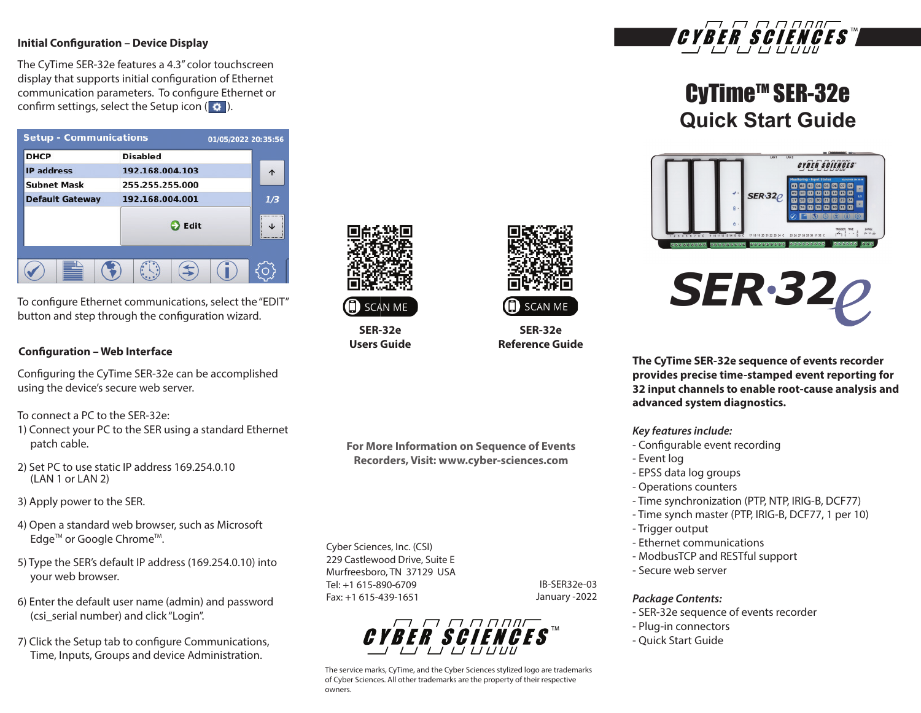#### **Initial Configuration - Device Display**

The CyTime SER-32e features a 4.3" color touchscreen display that supports initial configuration of Ethernet communication parameters. To configure Ethernet or confirm settings, select the Setup icon ( $\bullet$ ).

| <b>Setup - Communications</b> |                 | 01/05/2022 20:35:56 |
|-------------------------------|-----------------|---------------------|
| <b>DHCP</b>                   | <b>Disabled</b> |                     |
| <b>IP</b> address             | 192.168.004.103 |                     |
| <b>Subnet Mask</b>            | 255.255.255.000 |                     |
| <b>Default Gateway</b>        | 192.168.004.001 | 1/3                 |
|                               | Edit            | <br>                |
|                               |                 |                     |

To configure Ethernet communications, select the "EDIT" button and step through the configuration wizard.

#### **Configuration – Web Interface**

Configuring the CyTime SER-32e can be accomplished using the device's secure web server.

To connect a PC to the SER-32e:

- 1) Connect your PC to the SER using a standard Ethernet patch cable.
- 2) Set PC to use static IP address 169.254.0.10 (LAN 1 or LAN 2)
- 3) Apply power to the SER.
- 4) Open a standard web browser, such as Microsoft Edge<sup>™</sup> or Google Chrome<sup>™</sup>.
- 5) Type the SER's default IP address (169.254.0.10) into your web browser.
- 6) Enter the default user name (admin) and password (csi\_serial number) and click "Login".
- 7) Click the Setup tab to configure Communications, Time, Inputs, Groups and device Administration.



# **SCAN ME**

**SER-32e Users Guide**

**For More Information on Sequence of Events Recorders, Visit: www.cyber-sciences.com**

Cyber Sciences, Inc. (CSI) 229 Castlewood Drive, Suite E Murfreesboro, TN 37129 USA Tel: +1 615-890-6709 Fax: +1 615-439-1651

IB-SER32e-03 January -2022

**SER-32e Reference Guide**

**SCAN ME** 



The service marks, CyTime, and the Cyber Sciences stylized logo are trademarks of Cyber Sciences. All other trademarks are the property of their respective owners.



# CyTime™ SER-32e **Quick Start Guide**





**The CyTime SER-32e sequence of events recorder provides precise time-stamped event reporting for 32 input channels to enable root-cause analysis and advanced system diagnostics.** 

#### *Key features include:*

- Configurable event recording
- Event log
- EPSS data log groups
- Operations counters
- Time synchronization (PTP, NTP, IRIG-B, DCF77)
- Time synch master (PTP, IRIG-B, DCF77, 1 per 10)
- Trigger output
- Ethernet communications
- ModbusTCP and RESTful support
- Secure web server

#### *Package Contents:*

- SER-32e sequence of events recorder
- Plug-in connectors
- Quick Start Guide